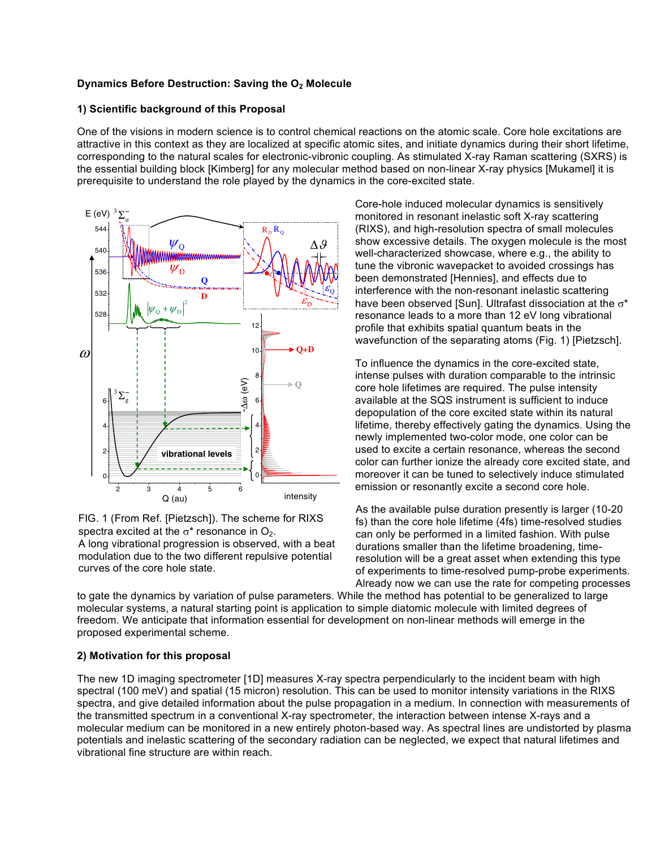## **Dynamics Before Destruction: Saving the O<sub>2</sub> Molecule**

## **1) Scientific background of this Proposal**

One of the visions in modern science is to control chemical reactions on the atomic scale. Core hole excitations are attractive in this context as they are localized at specific atomic sites, and initiate dynamics during their short lifetime, corresponding to the natural scales for electronic-vibronic coupling. As stimulated X-ray Raman scattering (SXRS) is the essential building block [Kimberg] for any molecular method based on non-linear X-ray physics [Mukamel] it is prerequisite to understand the role played by the dynamics in the core-excited state.



FIG. 1 (From Ref. [Pietzsch]). The scheme for RIXS spectra excited at the  $\sigma^*$  resonance in  $O_2$ . A long vibrational progression is observed, with a beat modulation due to the two different repulsive potential

curves of the core hole state.

Core-hole induced molecular dynamics is sensitively monitored in resonant inelastic soft X-ray scattering (RIXS), and high-resolution spectra of small molecules show excessive details. The oxygen molecule is the most well-characterized showcase, where e.g., the ability to where the straining to the straining the straining of the straining of the straining of the straining of the straining of the straining of the straining of the strain tune the vibronic wavepacket to avoided crossings has been demonstrated [Hennies], and effects due to intermediate discociation interference with the non-resonant inelastic scattering<br>have an energy space of the ground state equilibrium have been observed [Sun]. Ultrafast dissociation at the  $\sigma^*$ nave been observed <sub>L</sub>ounj. Oltralast dissociation at the «<br>resonance leads to a more than 12 eV long vibrational resonance leads to a more tnan 12 ev long vibra<br>profile that exhibits spatial quantum beats in the prome that exhibits spatial quaritum seats in the integral prome that combine spatial integrals in the ational<br>, ravolution of the equivality atoms  $(1, 9, 1)$  is to the state

To influence the dynamics in the core-excited state, intense pulses with duration comparable to the intrinsic mense puises with duration comparable to the intifi-<br>core hole lifetimes are required. The pulse intensity available at the SQS instrument is sufficient to induce<br>depended in of the same systed state within its pattern  $\alpha$  available at the SQS institution is sufficient to induce<br>depopulation of the core excited state within its natural depopulation of the core excited state within its riatural<br>lifetime, thereby effectively gating the dynamics. Using the newly implemented two-color mode, one color can be now, implemented the color mede, one color can be used to excite a certain resonance, whereas the second<br>color can further ionize the already core excited state, and moreover it can be tuned to selectively induce stimulated emission or resonantly excite a second core hole.

As the available pulse duration presently is larger (10-20 As the available pulse duration presently is larger (10-20<br>fs) than the core hole lifetime (4fs) time-resolved studies to man are serviced modified (i.e., and reserved statiction, with pulse can only be performed in a limited rasmon. With palse<br>durations smaller than the lifetime broadening, timeresolution will be a great asset when extending this type of experiments to time-resolved pump-probe experiments. Already now we can use the rate for competing processes

to gate the dynamics by variation of pulse parameters. While the method has potential to be generalized to large molecular systems, a natural starting point is application to simple diatomic molecule with limited degrees of freedom. We anticipate that information essential for development on non-linear methods will emerge in the noduom: we anadipate that information essemiantor as<br>proposed experimental scheme.

# 2) Motivation for this proposal

The new 1D imaging spectrometer [1D] measures X-ray spectra perpendicularly to the incident beam with high spectral (100 meV) and spatial (15 micron) resolution. This can be used to monitor intensity variations in the RIXS spectral (100 meV) and spatial (15 micron) resolution. This can be used to monitor intensity variations i spectra, and give detailed information about the pulse propagation in a medium. In connection with measurements of the transmitted spectrum in a conventional X-ray spectrometer, the interaction between intense X-rays and a molecular medium can be monitored in a new entirely photon-based way. As spectral lines are undistorted by plasma potentials and inelastic scattering of the secondary radiation can be neglected, we expect that natural lifetimes and vibrational fine structure are within reach.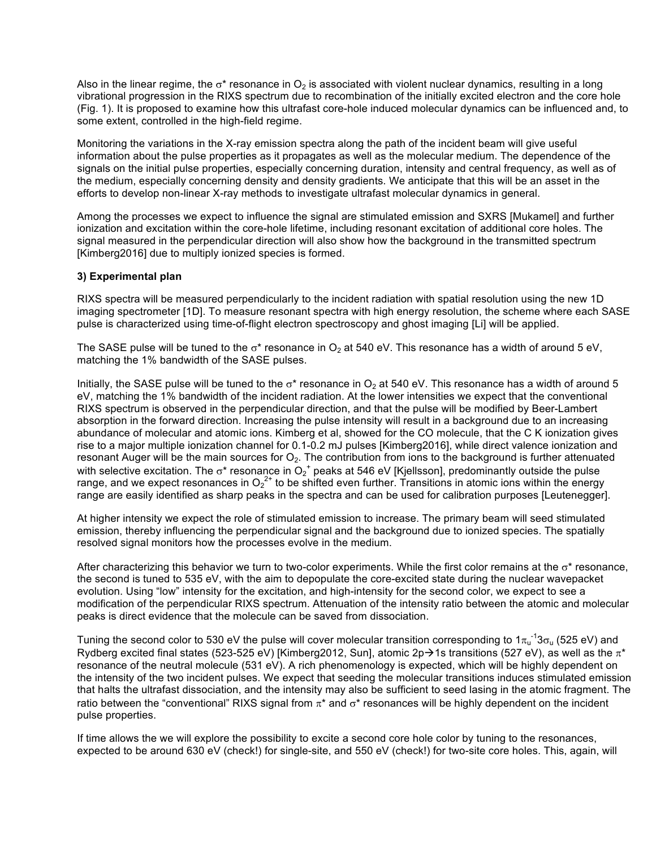Also in the linear regime, the  $\sigma^*$  resonance in  $O_2$  is associated with violent nuclear dynamics, resulting in a long vibrational progression in the RIXS spectrum due to recombination of the initially excited electron and the core hole (Fig. 1). It is proposed to examine how this ultrafast core-hole induced molecular dynamics can be influenced and, to some extent, controlled in the high-field regime.

Monitoring the variations in the X-ray emission spectra along the path of the incident beam will give useful information about the pulse properties as it propagates as well as the molecular medium. The dependence of the signals on the initial pulse properties, especially concerning duration, intensity and central frequency, as well as of the medium, especially concerning density and density gradients. We anticipate that this will be an asset in the efforts to develop non-linear X-ray methods to investigate ultrafast molecular dynamics in general.

Among the processes we expect to influence the signal are stimulated emission and SXRS [Mukamel] and further ionization and excitation within the core-hole lifetime, including resonant excitation of additional core holes. The signal measured in the perpendicular direction will also show how the background in the transmitted spectrum [Kimberg2016] due to multiply ionized species is formed.

# **3) Experimental plan**

RIXS spectra will be measured perpendicularly to the incident radiation with spatial resolution using the new 1D imaging spectrometer [1D]. To measure resonant spectra with high energy resolution, the scheme where each SASE pulse is characterized using time-of-flight electron spectroscopy and ghost imaging [Li] will be applied.

The SASE pulse will be tuned to the  $\sigma^*$  resonance in  $O_2$  at 540 eV. This resonance has a width of around 5 eV, matching the 1% bandwidth of the SASE pulses.

Initially, the SASE pulse will be tuned to the  $\sigma^*$  resonance in  $O_2$  at 540 eV. This resonance has a width of around 5 eV, matching the 1% bandwidth of the incident radiation. At the lower intensities we expect that the conventional RIXS spectrum is observed in the perpendicular direction, and that the pulse will be modified by Beer-Lambert absorption in the forward direction. Increasing the pulse intensity will result in a background due to an increasing abundance of molecular and atomic ions. Kimberg et al, showed for the CO molecule, that the C K ionization gives rise to a major multiple ionization channel for 0.1-0.2 mJ pulses [Kimberg2016], while direct valence ionization and resonant Auger will be the main sources for  $O_2$ . The contribution from ions to the background is further attenuated with selective excitation. The  $\sigma^*$  resonance in O<sub>2</sub><sup>+</sup> peaks at 546 eV [Kjellsson], predominantly outside the pulse range, and we expect resonances in  $O_2^{2+}$  to be shifted even further. Transitions in atomic ions within the energy range are easily identified as sharp peaks in the spectra and can be used for calibration purposes [Leutenegger].

At higher intensity we expect the role of stimulated emission to increase. The primary beam will seed stimulated emission, thereby influencing the perpendicular signal and the background due to ionized species. The spatially resolved signal monitors how the processes evolve in the medium.

After characterizing this behavior we turn to two-color experiments. While the first color remains at the  $\sigma^*$  resonance, the second is tuned to 535 eV, with the aim to depopulate the core-excited state during the nuclear wavepacket evolution. Using "low" intensity for the excitation, and high-intensity for the second color, we expect to see a modification of the perpendicular RIXS spectrum. Attenuation of the intensity ratio between the atomic and molecular peaks is direct evidence that the molecule can be saved from dissociation.

Tuning the second color to 530 eV the pulse will cover molecular transition corresponding to 1 $\pi_u^{-1}$ 3 $\sigma_u$  (525 eV) and Rydberg excited final states (523-525 eV) [Kimberg2012, Sun], atomic  $2p\rightarrow1s$  transitions (527 eV), as well as the  $\pi^*$ resonance of the neutral molecule (531 eV). A rich phenomenology is expected, which will be highly dependent on the intensity of the two incident pulses. We expect that seeding the molecular transitions induces stimulated emission that halts the ultrafast dissociation, and the intensity may also be sufficient to seed lasing in the atomic fragment. The ratio between the "conventional" RIXS signal from  $\pi^*$  and  $\sigma^*$  resonances will be highly dependent on the incident pulse properties.

If time allows the we will explore the possibility to excite a second core hole color by tuning to the resonances, expected to be around 630 eV (check!) for single-site, and 550 eV (check!) for two-site core holes. This, again, will